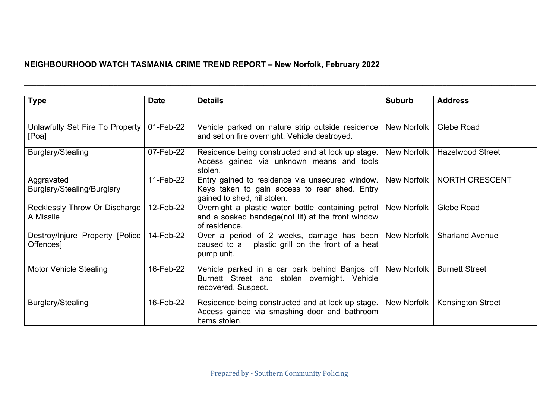## **NEIGHBOURHOOD WATCH TASMANIA CRIME TREND REPORT – New Norfolk, February 2022**

| <b>Type</b>                                    | <b>Date</b> | <b>Details</b>                                                                                                                    | <b>Suburb</b>      | <b>Address</b>           |
|------------------------------------------------|-------------|-----------------------------------------------------------------------------------------------------------------------------------|--------------------|--------------------------|
| Unlawfully Set Fire To Property<br>[Poa]       | 01-Feb-22   | Vehicle parked on nature strip outside residence<br>and set on fire overnight. Vehicle destroyed.                                 | New Norfolk        | Glebe Road               |
| Burglary/Stealing                              | 07-Feb-22   | Residence being constructed and at lock up stage.<br>Access gained via unknown means and tools<br>stolen.                         | New Norfolk        | <b>Hazelwood Street</b>  |
| Aggravated<br>Burglary/Stealing/Burglary       | 11-Feb-22   | Entry gained to residence via unsecured window.<br>Keys taken to gain access to rear shed. Entry<br>gained to shed, nil stolen.   | New Norfolk        | <b>NORTH CRESCENT</b>    |
| Recklessly Throw Or Discharge<br>A Missile     | 12-Feb-22   | Overnight a plastic water bottle containing petrol<br>and a soaked bandage(not lit) at the front window<br>of residence.          | <b>New Norfolk</b> | Glebe Road               |
| Destroy/Injure Property [Police  <br>Offences] | 14-Feb-22   | Over a period of 2 weeks, damage has been New Norfolk<br>caused to a plastic grill on the front of a heat<br>pump unit.           |                    | <b>Sharland Avenue</b>   |
| <b>Motor Vehicle Stealing</b>                  | 16-Feb-22   | Vehicle parked in a car park behind Banjos off New Norfolk<br>Burnett Street and stolen overnight. Vehicle<br>recovered. Suspect. |                    | <b>Burnett Street</b>    |
| Burglary/Stealing                              | 16-Feb-22   | Residence being constructed and at lock up stage.<br>Access gained via smashing door and bathroom<br>items stolen.                | New Norfolk        | <b>Kensington Street</b> |

**\_\_\_\_\_\_\_\_\_\_\_\_\_\_\_\_\_\_\_\_\_\_\_\_\_\_\_\_\_\_\_\_\_\_\_\_\_\_\_\_\_\_\_\_\_\_\_\_\_\_\_\_\_\_\_\_\_\_\_\_\_\_\_\_\_\_\_\_\_\_\_\_\_\_\_\_\_\_\_\_\_\_\_\_\_\_\_\_\_\_\_\_\_\_\_\_\_\_\_\_\_\_\_\_\_\_\_\_\_\_\_\_\_\_\_\_\_\_\_\_\_\_\_\_\_\_**